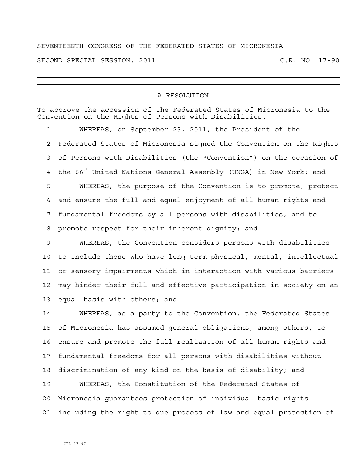## SEVENTEENTH CONGRESS OF THE FEDERATED STATES OF MICRONESIA

SECOND SPECIAL SESSION, 2011 C.R. NO. 17-90

## A RESOLUTION

To approve the accession of the Federated States of Micronesia to the Convention on the Rights of Persons with Disabilities.

1 WHEREAS, on September 23, 2011, the President of the 2 Federated States of Micronesia signed the Convention on the Rights 3 of Persons with Disabilities (the "Convention") on the occasion of 4 the 66<sup>th</sup> United Nations General Assembly (UNGA) in New York; and 5 WHEREAS, the purpose of the Convention is to promote, protect 6 and ensure the full and equal enjoyment of all human rights and 7 fundamental freedoms by all persons with disabilities, and to 8 promote respect for their inherent dignity; and

9 WHEREAS, the Convention considers persons with disabilities 10 to include those who have long-term physical, mental, intellectual 11 or sensory impairments which in interaction with various barriers 12 may hinder their full and effective participation in society on an 13 equal basis with others; and

14 WHEREAS, as a party to the Convention, the Federated States 15 of Micronesia has assumed general obligations, among others, to 16 ensure and promote the full realization of all human rights and 17 fundamental freedoms for all persons with disabilities without 18 discrimination of any kind on the basis of disability; and

19 WHEREAS, the Constitution of the Federated States of 20 Micronesia guarantees protection of individual basic rights 21 including the right to due process of law and equal protection of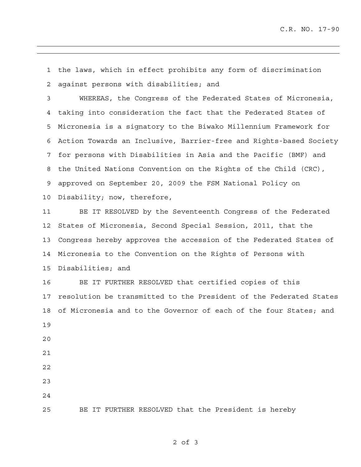1 the laws, which in effect prohibits any form of discrimination 2 against persons with disabilities; and

3 WHEREAS, the Congress of the Federated States of Micronesia, 4 taking into consideration the fact that the Federated States of 5 Micronesia is a signatory to the Biwako Millennium Framework for 6 Action Towards an Inclusive, Barrier-free and Rights-based Society 7 for persons with Disabilities in Asia and the Pacific (BMF) and 8 the United Nations Convention on the Rights of the Child (CRC), 9 approved on September 20, 2009 the FSM National Policy on 10 Disability; now, therefore,

11 BE IT RESOLVED by the Seventeenth Congress of the Federated 12 States of Micronesia, Second Special Session, 2011, that the 13 Congress hereby approves the accession of the Federated States of 14 Micronesia to the Convention on the Rights of Persons with 15 Disabilities; and

16 BE IT FURTHER RESOLVED that certified copies of this 17 resolution be transmitted to the President of the Federated States 18 of Micronesia and to the Governor of each of the four States; and 19 20 21 22

- 23
- 24

25 BE IT FURTHER RESOLVED that the President is hereby